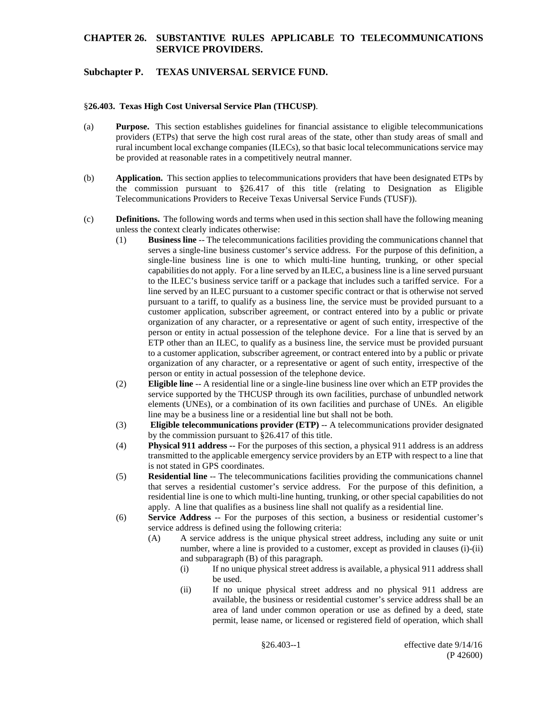## **Subchapter P. TEXAS UNIVERSAL SERVICE FUND.**

#### §**26.403. Texas High Cost Universal Service Plan (THCUSP)**.

- (a) **Purpose.** This section establishes guidelines for financial assistance to eligible telecommunications providers (ETPs) that serve the high cost rural areas of the state, other than study areas of small and rural incumbent local exchange companies (ILECs), so that basic local telecommunications service may be provided at reasonable rates in a competitively neutral manner.
- (b) **Application.** This section applies to telecommunications providers that have been designated ETPs by the commission pursuant to  $\S 26.417$  of this title (relating to Designation as Eligible Telecommunications Providers to Receive Texas Universal Service Funds (TUSF)).
- (c) **Definitions.** The following words and terms when used in this section shall have the following meaning unless the context clearly indicates otherwise:
	- (1) **Business line** -- The telecommunications facilities providing the communications channel that serves a single-line business customer's service address. For the purpose of this definition, a single-line business line is one to which multi-line hunting, trunking, or other special capabilities do not apply. For a line served by an ILEC, a business line is a line served pursuant to the ILEC's business service tariff or a package that includes such a tariffed service. For a line served by an ILEC pursuant to a customer specific contract or that is otherwise not served pursuant to a tariff, to qualify as a business line, the service must be provided pursuant to a customer application, subscriber agreement, or contract entered into by a public or private organization of any character, or a representative or agent of such entity, irrespective of the person or entity in actual possession of the telephone device. For a line that is served by an ETP other than an ILEC, to qualify as a business line, the service must be provided pursuant to a customer application, subscriber agreement, or contract entered into by a public or private organization of any character, or a representative or agent of such entity, irrespective of the person or entity in actual possession of the telephone device.
	- (2) **Eligible line** -- A residential line or a single-line business line over which an ETP provides the service supported by the THCUSP through its own facilities, purchase of unbundled network elements (UNEs), or a combination of its own facilities and purchase of UNEs. An eligible line may be a business line or a residential line but shall not be both.
	- (3) **Eligible telecommunications provider (ETP)** -- A telecommunications provider designated by the commission pursuant to §26.417 of this title.
	- (4) **Physical 911 address --** For the purposes of this section, a physical 911 address is an address transmitted to the applicable emergency service providers by an ETP with respect to a line that is not stated in GPS coordinates.
	- (5) **Residential line** -- The telecommunications facilities providing the communications channel that serves a residential customer's service address. For the purpose of this definition, a residential line is one to which multi-line hunting, trunking, or other special capabilities do not apply. A line that qualifies as a business line shall not qualify as a residential line.
	- (6) **Service Address** -- For the purposes of this section, a business or residential customer's service address is defined using the following criteria:
		- (A) A service address is the unique physical street address, including any suite or unit number, where a line is provided to a customer, except as provided in clauses (i)-(ii) and subparagraph (B) of this paragraph.
			- (i) If no unique physical street address is available, a physical 911 address shall be used.
			- (ii) If no unique physical street address and no physical 911 address are available, the business or residential customer's service address shall be an area of land under common operation or use as defined by a deed, state permit, lease name, or licensed or registered field of operation, which shall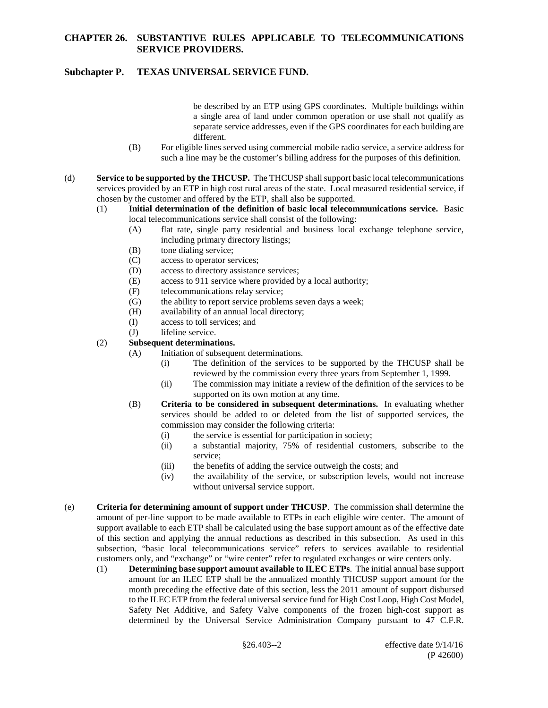# **Subchapter P. TEXAS UNIVERSAL SERVICE FUND.**

be described by an ETP using GPS coordinates. Multiple buildings within a single area of land under common operation or use shall not qualify as separate service addresses, even if the GPS coordinates for each building are different.

- (B) For eligible lines served using commercial mobile radio service, a service address for such a line may be the customer's billing address for the purposes of this definition.
- (d) **Service to be supported by the THCUSP.** The THCUSP shall support basic local telecommunications services provided by an ETP in high cost rural areas of the state. Local measured residential service, if chosen by the customer and offered by the ETP, shall also be supported.
	- (1) **Initial determination of the definition of basic local telecommunications service.** Basic local telecommunications service shall consist of the following:
		- (A) flat rate, single party residential and business local exchange telephone service, including primary directory listings;
		- (B) tone dialing service;
		- (C) access to operator services;
		- (D) access to directory assistance services;
		- (E) access to 911 service where provided by a local authority;
		- (F) telecommunications relay service;
		- (G) the ability to report service problems seven days a week;
		- (H) availability of an annual local directory;
		- (I) access to toll services; and
		- (J) lifeline service.
	- (2) **Subsequent determinations.** 
		- (A) Initiation of subsequent determinations.
			- (i) The definition of the services to be supported by the THCUSP shall be reviewed by the commission every three years from September 1, 1999.
			- (ii) The commission may initiate a review of the definition of the services to be supported on its own motion at any time.
		- (B) **Criteria to be considered in subsequent determinations.** In evaluating whether services should be added to or deleted from the list of supported services, the commission may consider the following criteria:
			- (i) the service is essential for participation in society;
			- (ii) a substantial majority, 75% of residential customers, subscribe to the service;
			- (iii) the benefits of adding the service outweigh the costs; and
			- (iv) the availability of the service, or subscription levels, would not increase without universal service support.
- (e) **Criteria for determining amount of support under THCUSP**. The commission shall determine the amount of per-line support to be made available to ETPs in each eligible wire center. The amount of support available to each ETP shall be calculated using the base support amount as of the effective date of this section and applying the annual reductions as described in this subsection. As used in this subsection, "basic local telecommunications service" refers to services available to residential customers only, and "exchange" or "wire center" refer to regulated exchanges or wire centers only.
	- (1) **Determining base support amount available to ILEC ETPs**. The initial annual base support amount for an ILEC ETP shall be the annualized monthly THCUSP support amount for the month preceding the effective date of this section, less the 2011 amount of support disbursed to the ILEC ETP from the federal universal service fund for High Cost Loop, High Cost Model, Safety Net Additive, and Safety Valve components of the frozen high-cost support as determined by the Universal Service Administration Company pursuant to 47 C.F.R.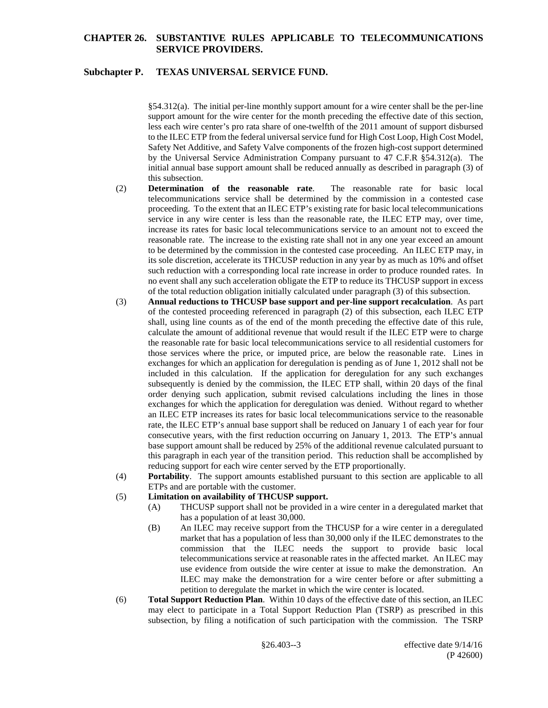### **Subchapter P. TEXAS UNIVERSAL SERVICE FUND.**

§54.312(a). The initial per-line monthly support amount for a wire center shall be the per-line support amount for the wire center for the month preceding the effective date of this section, less each wire center's pro rata share of one-twelfth of the 2011 amount of support disbursed to the ILEC ETP from the federal universal service fund for High Cost Loop, High Cost Model, Safety Net Additive, and Safety Valve components of the frozen high-cost support determined by the Universal Service Administration Company pursuant to 47 C.F.R §54.312(a). The initial annual base support amount shall be reduced annually as described in paragraph (3) of this subsection.

- (2) **Determination of the reasonable rate**. The reasonable rate for basic local telecommunications service shall be determined by the commission in a contested case proceeding. To the extent that an ILEC ETP's existing rate for basic local telecommunications service in any wire center is less than the reasonable rate, the ILEC ETP may, over time, increase its rates for basic local telecommunications service to an amount not to exceed the reasonable rate. The increase to the existing rate shall not in any one year exceed an amount to be determined by the commission in the contested case proceeding.An ILEC ETP may, in its sole discretion, accelerate its THCUSP reduction in any year by as much as 10% and offset such reduction with a corresponding local rate increase in order to produce rounded rates. In no event shall any such acceleration obligate the ETP to reduce its THCUSP support in excess of the total reduction obligation initially calculated under paragraph (3) of this subsection.
- (3) **Annual reductions to THCUSP base support and per-line support recalculation**. As part of the contested proceeding referenced in paragraph (2) of this subsection, each ILEC ETP shall, using line counts as of the end of the month preceding the effective date of this rule, calculate the amount of additional revenue that would result if the ILEC ETP were to charge the reasonable rate for basic local telecommunications service to all residential customers for those services where the price, or imputed price, are below the reasonable rate. Lines in exchanges for which an application for deregulation is pending as of June 1, 2012 shall not be included in this calculation. If the application for deregulation for any such exchanges subsequently is denied by the commission, the ILEC ETP shall, within 20 days of the final order denying such application, submit revised calculations including the lines in those exchanges for which the application for deregulation was denied. Without regard to whether an ILEC ETP increases its rates for basic local telecommunications service to the reasonable rate, the ILEC ETP's annual base support shall be reduced on January 1 of each year for four consecutive years, with the first reduction occurring on January 1, 2013. The ETP's annual base support amount shall be reduced by 25% of the additional revenue calculated pursuant to this paragraph in each year of the transition period. This reduction shall be accomplished by reducing support for each wire center served by the ETP proportionally.
- (4) **Portability**. The support amounts established pursuant to this section are applicable to all ETPs and are portable with the customer.

#### (5) **Limitation on availability of THCUSP support.**

- (A) THCUSP support shall not be provided in a wire center in a deregulated market that has a population of at least 30,000.
- (B) An ILEC may receive support from the THCUSP for a wire center in a deregulated market that has a population of less than 30,000 only if the ILEC demonstrates to the commission that the ILEC needs the support to provide basic local telecommunications service at reasonable rates in the affected market. An ILEC may use evidence from outside the wire center at issue to make the demonstration. An ILEC may make the demonstration for a wire center before or after submitting a petition to deregulate the market in which the wire center is located.
- (6) **Total Support Reduction Plan**. Within 10 days of the effective date of this section, an ILEC may elect to participate in a Total Support Reduction Plan (TSRP) as prescribed in this subsection, by filing a notification of such participation with the commission. The TSRP